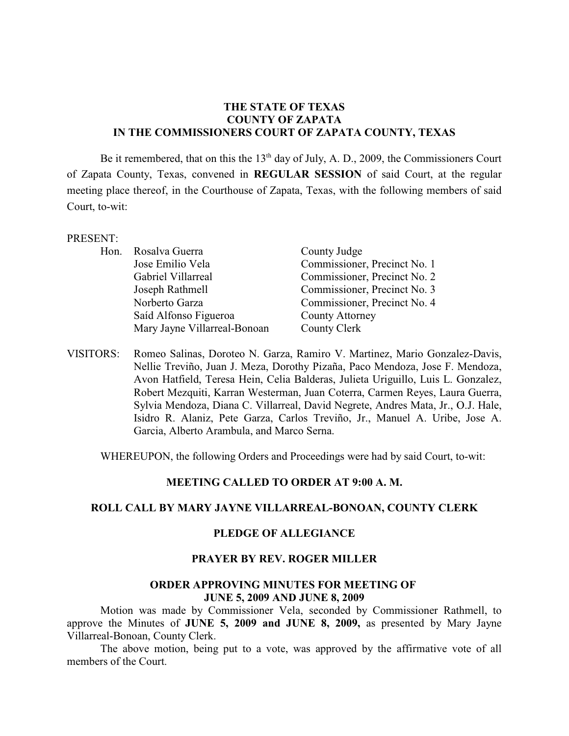# **THE STATE OF TEXAS COUNTY OF ZAPATA IN THE COMMISSIONERS COURT OF ZAPATA COUNTY, TEXAS**

Be it remembered, that on this the  $13<sup>th</sup>$  day of July, A. D., 2009, the Commissioners Court of Zapata County, Texas, convened in **REGULAR SESSION** of said Court, at the regular meeting place thereof, in the Courthouse of Zapata, Texas, with the following members of said Court, to-wit:

#### PRESENT:

| Hon. Rosalva Guerra          | County Judge                 |
|------------------------------|------------------------------|
| Jose Emilio Vela             | Commissioner, Precinct No. 1 |
| Gabriel Villarreal           | Commissioner, Precinct No. 2 |
| Joseph Rathmell              | Commissioner, Precinct No. 3 |
| Norberto Garza               | Commissioner, Precinct No. 4 |
| Saíd Alfonso Figueroa        | <b>County Attorney</b>       |
| Mary Jayne Villarreal-Bonoan | County Clerk                 |

VISITORS: Romeo Salinas, Doroteo N. Garza, Ramiro V. Martinez, Mario Gonzalez-Davis, Nellie Treviño, Juan J. Meza, Dorothy Pizaña, Paco Mendoza, Jose F. Mendoza, Avon Hatfield, Teresa Hein, Celia Balderas, Julieta Uriguillo, Luis L. Gonzalez, Robert Mezquiti, Karran Westerman, Juan Coterra, Carmen Reyes, Laura Guerra, Sylvia Mendoza, Diana C. Villarreal, David Negrete, Andres Mata, Jr., O.J. Hale, Isidro R. Alaniz, Pete Garza, Carlos Treviño, Jr., Manuel A. Uribe, Jose A. Garcia, Alberto Arambula, and Marco Serna.

WHEREUPON, the following Orders and Proceedings were had by said Court, to-wit:

#### **MEETING CALLED TO ORDER AT 9:00 A. M.**

#### **ROLL CALL BY MARY JAYNE VILLARREAL-BONOAN, COUNTY CLERK**

#### **PLEDGE OF ALLEGIANCE**

## **PRAYER BY REV. ROGER MILLER**

#### **ORDER APPROVING MINUTES FOR MEETING OF JUNE 5, 2009 AND JUNE 8, 2009**

Motion was made by Commissioner Vela, seconded by Commissioner Rathmell, to approve the Minutes of **JUNE 5, 2009 and JUNE 8, 2009,** as presented by Mary Jayne Villarreal-Bonoan, County Clerk.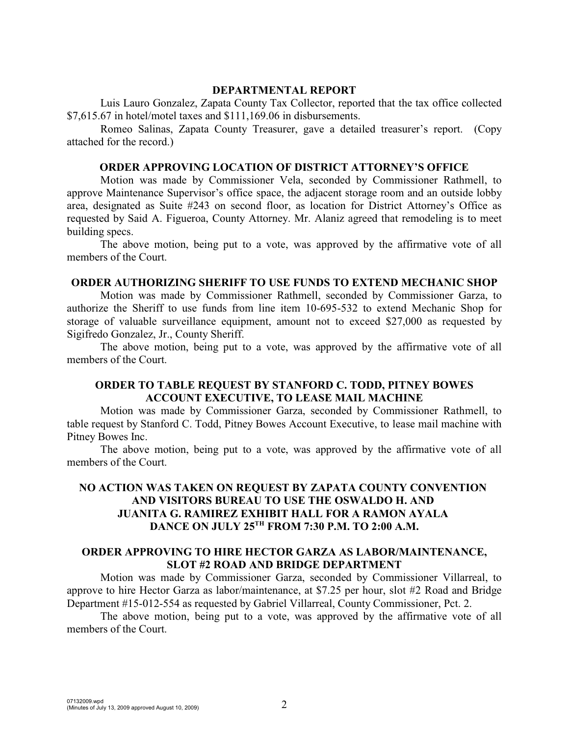#### **DEPARTMENTAL REPORT**

Luis Lauro Gonzalez, Zapata County Tax Collector, reported that the tax office collected \$7,615.67 in hotel/motel taxes and \$111,169.06 in disbursements.

Romeo Salinas, Zapata County Treasurer, gave a detailed treasurer's report. (Copy attached for the record.)

#### **ORDER APPROVING LOCATION OF DISTRICT ATTORNEY'S OFFICE**

Motion was made by Commissioner Vela, seconded by Commissioner Rathmell, to approve Maintenance Supervisor's office space, the adjacent storage room and an outside lobby area, designated as Suite #243 on second floor, as location for District Attorney's Office as requested by Said A. Figueroa, County Attorney. Mr. Alaniz agreed that remodeling is to meet building specs.

The above motion, being put to a vote, was approved by the affirmative vote of all members of the Court.

### **ORDER AUTHORIZING SHERIFF TO USE FUNDS TO EXTEND MECHANIC SHOP**

Motion was made by Commissioner Rathmell, seconded by Commissioner Garza, to authorize the Sheriff to use funds from line item 10-695-532 to extend Mechanic Shop for storage of valuable surveillance equipment, amount not to exceed \$27,000 as requested by Sigifredo Gonzalez, Jr., County Sheriff.

The above motion, being put to a vote, was approved by the affirmative vote of all members of the Court.

## **ORDER TO TABLE REQUEST BY STANFORD C. TODD, PITNEY BOWES ACCOUNT EXECUTIVE, TO LEASE MAIL MACHINE**

Motion was made by Commissioner Garza, seconded by Commissioner Rathmell, to table request by Stanford C. Todd, Pitney Bowes Account Executive, to lease mail machine with Pitney Bowes Inc.

The above motion, being put to a vote, was approved by the affirmative vote of all members of the Court.

# **NO ACTION WAS TAKEN ON REQUEST BY ZAPATA COUNTY CONVENTION AND VISITORS BUREAU TO USE THE OSWALDO H. AND JUANITA G. RAMIREZ EXHIBIT HALL FOR A RAMON AYALA DANCE ON JULY 25<sup>TH</sup> FROM 7:30 P.M. TO 2:00 A.M.**

## **ORDER APPROVING TO HIRE HECTOR GARZA AS LABOR/MAINTENANCE, SLOT #2 ROAD AND BRIDGE DEPARTMENT**

Motion was made by Commissioner Garza, seconded by Commissioner Villarreal, to approve to hire Hector Garza as labor/maintenance, at \$7.25 per hour, slot #2 Road and Bridge Department #15-012-554 as requested by Gabriel Villarreal, County Commissioner, Pct. 2.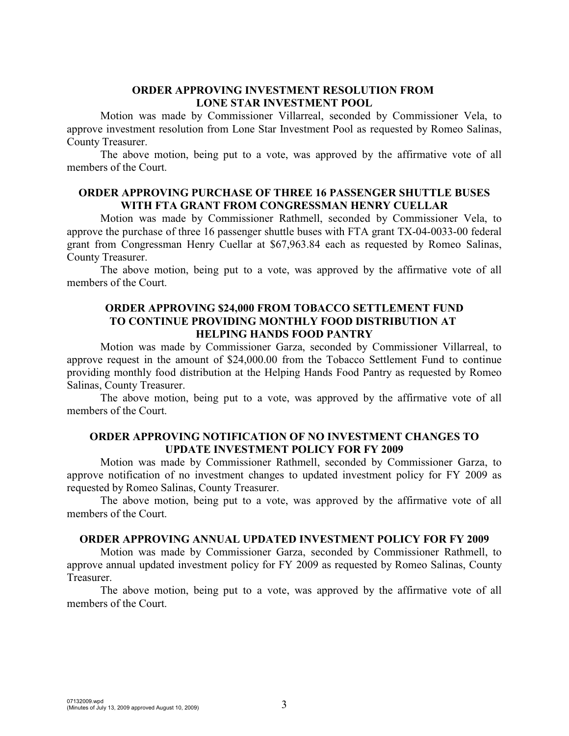## **ORDER APPROVING INVESTMENT RESOLUTION FROM LONE STAR INVESTMENT POOL**

Motion was made by Commissioner Villarreal, seconded by Commissioner Vela, to approve investment resolution from Lone Star Investment Pool as requested by Romeo Salinas, County Treasurer.

The above motion, being put to a vote, was approved by the affirmative vote of all members of the Court.

### **ORDER APPROVING PURCHASE OF THREE 16 PASSENGER SHUTTLE BUSES WITH FTA GRANT FROM CONGRESSMAN HENRY CUELLAR**

Motion was made by Commissioner Rathmell, seconded by Commissioner Vela, to approve the purchase of three 16 passenger shuttle buses with FTA grant TX-04-0033-00 federal grant from Congressman Henry Cuellar at \$67,963.84 each as requested by Romeo Salinas, County Treasurer.

The above motion, being put to a vote, was approved by the affirmative vote of all members of the Court.

## **ORDER APPROVING \$24,000 FROM TOBACCO SETTLEMENT FUND TO CONTINUE PROVIDING MONTHLY FOOD DISTRIBUTION AT HELPING HANDS FOOD PANTRY**

Motion was made by Commissioner Garza, seconded by Commissioner Villarreal, to approve request in the amount of \$24,000.00 from the Tobacco Settlement Fund to continue providing monthly food distribution at the Helping Hands Food Pantry as requested by Romeo Salinas, County Treasurer.

The above motion, being put to a vote, was approved by the affirmative vote of all members of the Court.

# **ORDER APPROVING NOTIFICATION OF NO INVESTMENT CHANGES TO UPDATE INVESTMENT POLICY FOR FY 2009**

Motion was made by Commissioner Rathmell, seconded by Commissioner Garza, to approve notification of no investment changes to updated investment policy for FY 2009 as requested by Romeo Salinas, County Treasurer.

The above motion, being put to a vote, was approved by the affirmative vote of all members of the Court.

#### **ORDER APPROVING ANNUAL UPDATED INVESTMENT POLICY FOR FY 2009**

Motion was made by Commissioner Garza, seconded by Commissioner Rathmell, to approve annual updated investment policy for FY 2009 as requested by Romeo Salinas, County Treasurer.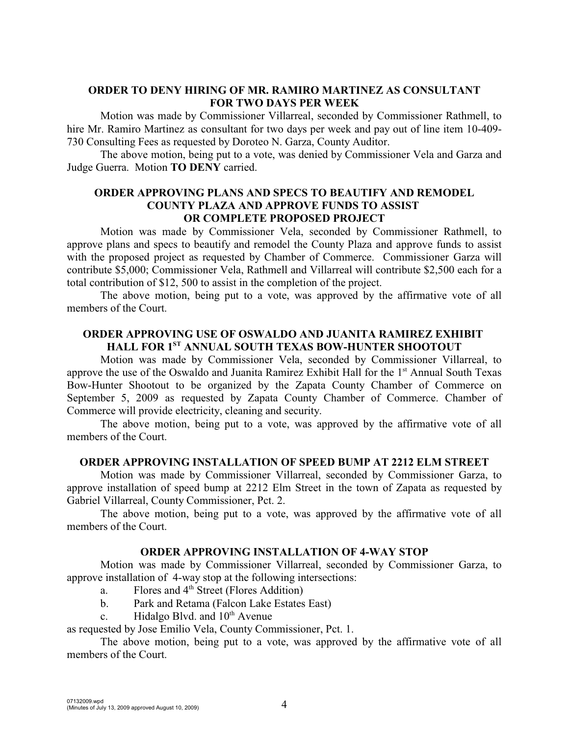# **ORDER TO DENY HIRING OF MR. RAMIRO MARTINEZ AS CONSULTANT FOR TWO DAYS PER WEEK**

Motion was made by Commissioner Villarreal, seconded by Commissioner Rathmell, to hire Mr. Ramiro Martinez as consultant for two days per week and pay out of line item 10-409- 730 Consulting Fees as requested by Doroteo N. Garza, County Auditor.

The above motion, being put to a vote, was denied by Commissioner Vela and Garza and Judge Guerra. Motion **TO DENY** carried.

### **ORDER APPROVING PLANS AND SPECS TO BEAUTIFY AND REMODEL COUNTY PLAZA AND APPROVE FUNDS TO ASSIST OR COMPLETE PROPOSED PROJECT**

Motion was made by Commissioner Vela, seconded by Commissioner Rathmell, to approve plans and specs to beautify and remodel the County Plaza and approve funds to assist with the proposed project as requested by Chamber of Commerce. Commissioner Garza will contribute \$5,000; Commissioner Vela, Rathmell and Villarreal will contribute \$2,500 each for a total contribution of \$12, 500 to assist in the completion of the project.

The above motion, being put to a vote, was approved by the affirmative vote of all members of the Court.

# **ORDER APPROVING USE OF OSWALDO AND JUANITA RAMIREZ EXHIBIT**  HALL FOR 1<sup>ST</sup> ANNUAL SOUTH TEXAS BOW-HUNTER SHOOTOUT

Motion was made by Commissioner Vela, seconded by Commissioner Villarreal, to approve the use of the Oswaldo and Juanita Ramirez Exhibit Hall for the 1<sup>st</sup> Annual South Texas Bow-Hunter Shootout to be organized by the Zapata County Chamber of Commerce on September 5, 2009 as requested by Zapata County Chamber of Commerce. Chamber of Commerce will provide electricity, cleaning and security.

The above motion, being put to a vote, was approved by the affirmative vote of all members of the Court.

## **ORDER APPROVING INSTALLATION OF SPEED BUMP AT 2212 ELM STREET**

Motion was made by Commissioner Villarreal, seconded by Commissioner Garza, to approve installation of speed bump at 2212 Elm Street in the town of Zapata as requested by Gabriel Villarreal, County Commissioner, Pct. 2.

The above motion, being put to a vote, was approved by the affirmative vote of all members of the Court.

# **ORDER APPROVING INSTALLATION OF 4-WAY STOP**

Motion was made by Commissioner Villarreal, seconded by Commissioner Garza, to approve installation of 4-way stop at the following intersections:

- a. Flores and  $4<sup>th</sup>$  Street (Flores Addition)
- b. Park and Retama (Falcon Lake Estates East)
- c. Hidalgo Blvd. and  $10<sup>th</sup>$  Avenue

as requested by Jose Emilio Vela, County Commissioner, Pct. 1.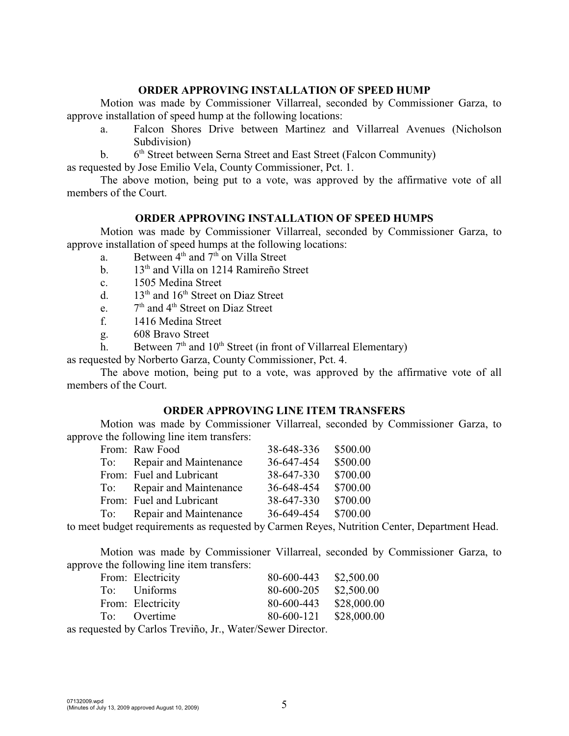### **ORDER APPROVING INSTALLATION OF SPEED HUMP**

Motion was made by Commissioner Villarreal, seconded by Commissioner Garza, to approve installation of speed hump at the following locations:

- a. Falcon Shores Drive between Martinez and Villarreal Avenues (Nicholson Subdivision)
- b.  $6<sup>th</sup> Street between Serna Street and East Street (Falcon Community)$

as requested by Jose Emilio Vela, County Commissioner, Pct. 1.

The above motion, being put to a vote, was approved by the affirmative vote of all members of the Court.

### **ORDER APPROVING INSTALLATION OF SPEED HUMPS**

Motion was made by Commissioner Villarreal, seconded by Commissioner Garza, to approve installation of speed humps at the following locations:

- a. Between  $4<sup>th</sup>$  and  $7<sup>th</sup>$  on Villa Street
- b.  $13<sup>th</sup>$  and Villa on 1214 Ramireño Street
- c. 1505 Medina Street
- d.  $13<sup>th</sup>$  and  $16<sup>th</sup>$  Street on Diaz Street
- e.  $7<sup>th</sup>$  and 4<sup>th</sup> Street on Diaz Street
- f. 1416 Medina Street
- g. 608 Bravo Street
- h. Between  $7<sup>th</sup>$  and  $10<sup>th</sup>$  Street (in front of Villarreal Elementary)

as requested by Norberto Garza, County Commissioner, Pct. 4.

The above motion, being put to a vote, was approved by the affirmative vote of all members of the Court.

### **ORDER APPROVING LINE ITEM TRANSFERS**

Motion was made by Commissioner Villarreal, seconded by Commissioner Garza, to approve the following line item transfers:

| From: Raw Food             | 38-648-336 | \$500.00 |
|----------------------------|------------|----------|
| To: Repair and Maintenance | 36-647-454 | \$500.00 |
| From: Fuel and Lubricant   | 38-647-330 | \$700.00 |
| To: Repair and Maintenance | 36-648-454 | \$700.00 |
| From: Fuel and Lubricant   | 38-647-330 | \$700.00 |
| To: Repair and Maintenance | 36-649-454 | \$700.00 |
|                            |            |          |

to meet budget requirements as requested by Carmen Reyes, Nutrition Center, Department Head.

Motion was made by Commissioner Villarreal, seconded by Commissioner Garza, to approve the following line item transfers:

| From: Electricity | 80-600-443 | \$2,500.00  |
|-------------------|------------|-------------|
| To: Uniforms      | 80-600-205 | \$2,500.00  |
| From: Electricity | 80-600-443 | \$28,000.00 |
| To: Overtime      | 80-600-121 | \$28,000.00 |
|                   |            |             |

as requested by Carlos Treviño, Jr., Water/Sewer Director.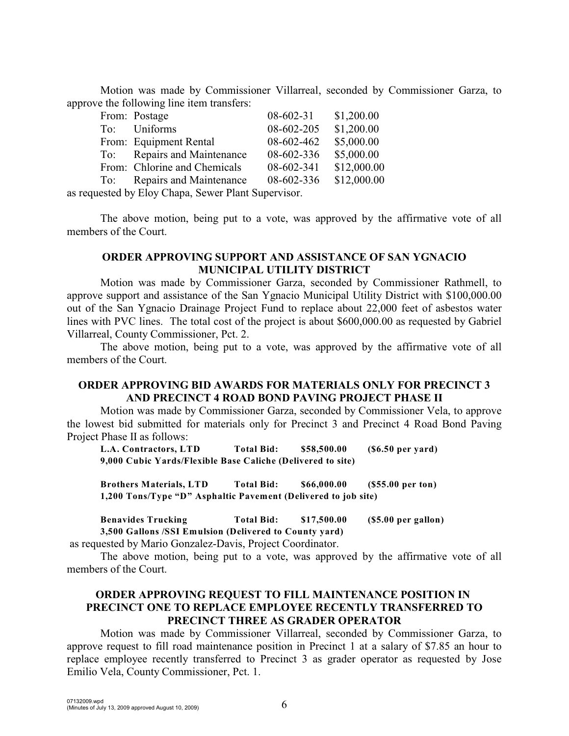Motion was made by Commissioner Villarreal, seconded by Commissioner Garza, to approve the following line item transfers:

| From: Postage                | 08-602-31  | \$1,200.00  |
|------------------------------|------------|-------------|
| To: Uniforms                 | 08-602-205 | \$1,200.00  |
| From: Equipment Rental       | 08-602-462 | \$5,000.00  |
| To: Repairs and Maintenance  | 08-602-336 | \$5,000.00  |
| From: Chlorine and Chemicals | 08-602-341 | \$12,000.00 |
| To: Repairs and Maintenance  | 08-602-336 | \$12,000.00 |

as requested by Eloy Chapa, Sewer Plant Supervisor.

The above motion, being put to a vote, was approved by the affirmative vote of all members of the Court.

# **ORDER APPROVING SUPPORT AND ASSISTANCE OF SAN YGNACIO MUNICIPAL UTILITY DISTRICT**

Motion was made by Commissioner Garza, seconded by Commissioner Rathmell, to approve support and assistance of the San Ygnacio Municipal Utility District with \$100,000.00 out of the San Ygnacio Drainage Project Fund to replace about 22,000 feet of asbestos water lines with PVC lines. The total cost of the project is about \$600,000.00 as requested by Gabriel Villarreal, County Commissioner, Pct. 2.

The above motion, being put to a vote, was approved by the affirmative vote of all members of the Court.

## **ORDER APPROVING BID AWARDS FOR MATERIALS ONLY FOR PRECINCT 3 AND PRECINCT 4 ROAD BOND PAVING PROJECT PHASE II**

Motion was made by Commissioner Garza, seconded by Commissioner Vela, to approve the lowest bid submitted for materials only for Precinct 3 and Precinct 4 Road Bond Paving Project Phase II as follows:

**L.A. Contractors, LTD Total Bid: \$58,500.00 (\$6.50 per yard) 9,000 Cubic Yards/Flexible Base Caliche (Delivered to site)**

**Brothers Materials, LTD Total Bid: \$66,000.00 (\$55.00 per ton) 1,200 Tons/Type "D" Asphaltic Pavement (Delivered to job site)**

**Benavides Trucking Total Bid: \$17,500.00 (\$5.00 per gallon) 3,500 Gallons /SSI Emulsion (Delivered to County yard)**

as requested by Mario Gonzalez-Davis, Project Coordinator.

The above motion, being put to a vote, was approved by the affirmative vote of all members of the Court.

# **ORDER APPROVING REQUEST TO FILL MAINTENANCE POSITION IN PRECINCT ONE TO REPLACE EMPLOYEE RECENTLY TRANSFERRED TO PRECINCT THREE AS GRADER OPERATOR**

Motion was made by Commissioner Villarreal, seconded by Commissioner Garza, to approve request to fill road maintenance position in Precinct 1 at a salary of \$7.85 an hour to replace employee recently transferred to Precinct 3 as grader operator as requested by Jose Emilio Vela, County Commissioner, Pct. 1.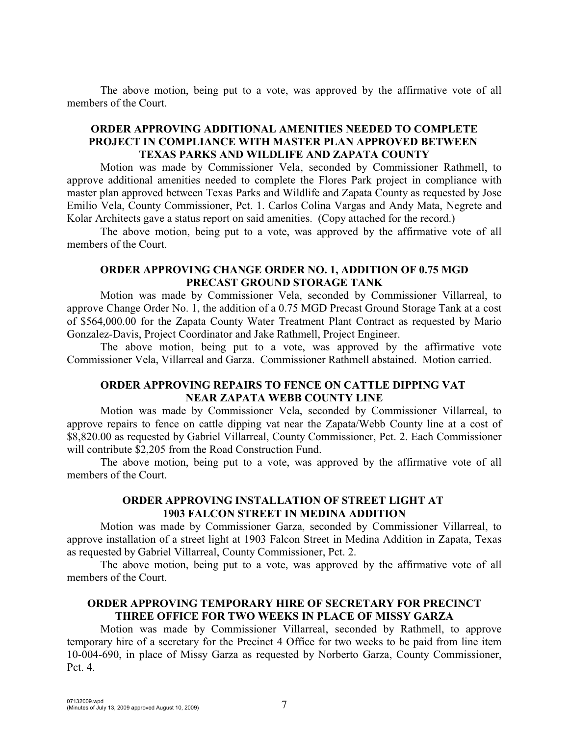The above motion, being put to a vote, was approved by the affirmative vote of all members of the Court.

# **ORDER APPROVING ADDITIONAL AMENITIES NEEDED TO COMPLETE PROJECT IN COMPLIANCE WITH MASTER PLAN APPROVED BETWEEN TEXAS PARKS AND WILDLIFE AND ZAPATA COUNTY**

Motion was made by Commissioner Vela, seconded by Commissioner Rathmell, to approve additional amenities needed to complete the Flores Park project in compliance with master plan approved between Texas Parks and Wildlife and Zapata County as requested by Jose Emilio Vela, County Commissioner, Pct. 1. Carlos Colina Vargas and Andy Mata, Negrete and Kolar Architects gave a status report on said amenities. (Copy attached for the record.)

The above motion, being put to a vote, was approved by the affirmative vote of all members of the Court.

### **ORDER APPROVING CHANGE ORDER NO. 1, ADDITION OF 0.75 MGD PRECAST GROUND STORAGE TANK**

Motion was made by Commissioner Vela, seconded by Commissioner Villarreal, to approve Change Order No. 1, the addition of a 0.75 MGD Precast Ground Storage Tank at a cost of \$564,000.00 for the Zapata County Water Treatment Plant Contract as requested by Mario Gonzalez-Davis, Project Coordinator and Jake Rathmell, Project Engineer.

The above motion, being put to a vote, was approved by the affirmative vote Commissioner Vela, Villarreal and Garza. Commissioner Rathmell abstained. Motion carried.

## **ORDER APPROVING REPAIRS TO FENCE ON CATTLE DIPPING VAT NEAR ZAPATA WEBB COUNTY LINE**

Motion was made by Commissioner Vela, seconded by Commissioner Villarreal, to approve repairs to fence on cattle dipping vat near the Zapata/Webb County line at a cost of \$8,820.00 as requested by Gabriel Villarreal, County Commissioner, Pct. 2. Each Commissioner will contribute \$2,205 from the Road Construction Fund.

The above motion, being put to a vote, was approved by the affirmative vote of all members of the Court.

# **ORDER APPROVING INSTALLATION OF STREET LIGHT AT 1903 FALCON STREET IN MEDINA ADDITION**

Motion was made by Commissioner Garza, seconded by Commissioner Villarreal, to approve installation of a street light at 1903 Falcon Street in Medina Addition in Zapata, Texas as requested by Gabriel Villarreal, County Commissioner, Pct. 2.

The above motion, being put to a vote, was approved by the affirmative vote of all members of the Court.

# **ORDER APPROVING TEMPORARY HIRE OF SECRETARY FOR PRECINCT THREE OFFICE FOR TWO WEEKS IN PLACE OF MISSY GARZA**

Motion was made by Commissioner Villarreal, seconded by Rathmell, to approve temporary hire of a secretary for the Precinct 4 Office for two weeks to be paid from line item 10-004-690, in place of Missy Garza as requested by Norberto Garza, County Commissioner, Pct. 4.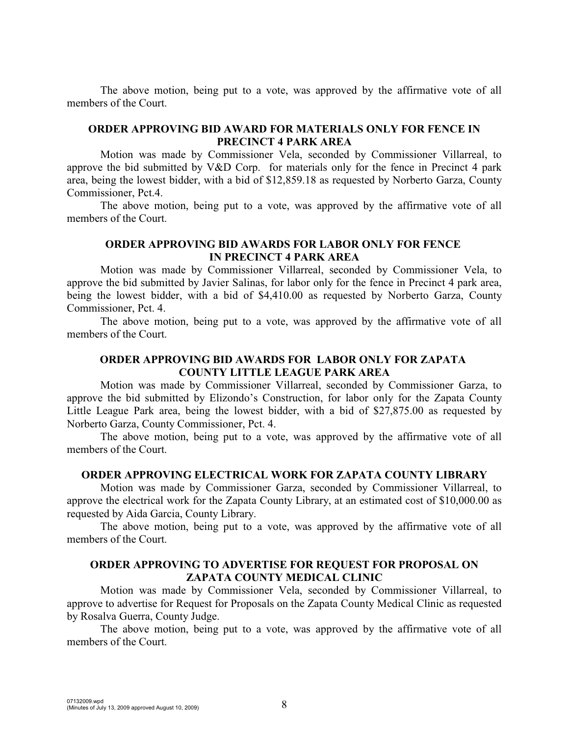The above motion, being put to a vote, was approved by the affirmative vote of all members of the Court.

## **ORDER APPROVING BID AWARD FOR MATERIALS ONLY FOR FENCE IN PRECINCT 4 PARK AREA**

Motion was made by Commissioner Vela, seconded by Commissioner Villarreal, to approve the bid submitted by V&D Corp. for materials only for the fence in Precinct 4 park area, being the lowest bidder, with a bid of \$12,859.18 as requested by Norberto Garza, County Commissioner, Pct.4.

The above motion, being put to a vote, was approved by the affirmative vote of all members of the Court.

## **ORDER APPROVING BID AWARDS FOR LABOR ONLY FOR FENCE IN PRECINCT 4 PARK AREA**

Motion was made by Commissioner Villarreal, seconded by Commissioner Vela, to approve the bid submitted by Javier Salinas, for labor only for the fence in Precinct 4 park area, being the lowest bidder, with a bid of \$4,410.00 as requested by Norberto Garza, County Commissioner, Pct. 4.

The above motion, being put to a vote, was approved by the affirmative vote of all members of the Court.

# **ORDER APPROVING BID AWARDS FOR LABOR ONLY FOR ZAPATA COUNTY LITTLE LEAGUE PARK AREA**

Motion was made by Commissioner Villarreal, seconded by Commissioner Garza, to approve the bid submitted by Elizondo's Construction, for labor only for the Zapata County Little League Park area, being the lowest bidder, with a bid of \$27,875.00 as requested by Norberto Garza, County Commissioner, Pct. 4.

The above motion, being put to a vote, was approved by the affirmative vote of all members of the Court.

### **ORDER APPROVING ELECTRICAL WORK FOR ZAPATA COUNTY LIBRARY**

Motion was made by Commissioner Garza, seconded by Commissioner Villarreal, to approve the electrical work for the Zapata County Library, at an estimated cost of \$10,000.00 as requested by Aida Garcia, County Library.

The above motion, being put to a vote, was approved by the affirmative vote of all members of the Court.

### **ORDER APPROVING TO ADVERTISE FOR REQUEST FOR PROPOSAL ON ZAPATA COUNTY MEDICAL CLINIC**

Motion was made by Commissioner Vela, seconded by Commissioner Villarreal, to approve to advertise for Request for Proposals on the Zapata County Medical Clinic as requested by Rosalva Guerra, County Judge.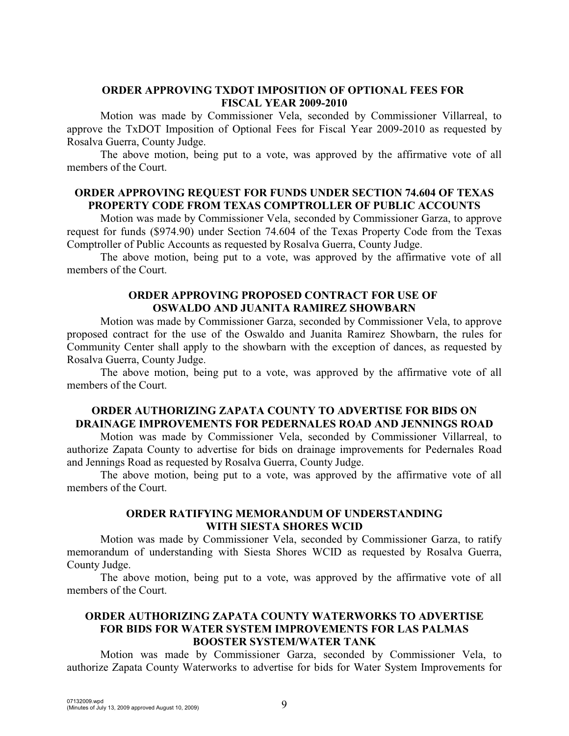# **ORDER APPROVING TXDOT IMPOSITION OF OPTIONAL FEES FOR FISCAL YEAR 2009-2010**

Motion was made by Commissioner Vela, seconded by Commissioner Villarreal, to approve the TxDOT Imposition of Optional Fees for Fiscal Year 2009-2010 as requested by Rosalva Guerra, County Judge.

The above motion, being put to a vote, was approved by the affirmative vote of all members of the Court.

### **ORDER APPROVING REQUEST FOR FUNDS UNDER SECTION 74.604 OF TEXAS PROPERTY CODE FROM TEXAS COMPTROLLER OF PUBLIC ACCOUNTS**

Motion was made by Commissioner Vela, seconded by Commissioner Garza, to approve request for funds (\$974.90) under Section 74.604 of the Texas Property Code from the Texas Comptroller of Public Accounts as requested by Rosalva Guerra, County Judge.

The above motion, being put to a vote, was approved by the affirmative vote of all members of the Court.

# **ORDER APPROVING PROPOSED CONTRACT FOR USE OF OSWALDO AND JUANITA RAMIREZ SHOWBARN**

Motion was made by Commissioner Garza, seconded by Commissioner Vela, to approve proposed contract for the use of the Oswaldo and Juanita Ramirez Showbarn, the rules for Community Center shall apply to the showbarn with the exception of dances, as requested by Rosalva Guerra, County Judge.

The above motion, being put to a vote, was approved by the affirmative vote of all members of the Court.

# **ORDER AUTHORIZING ZAPATA COUNTY TO ADVERTISE FOR BIDS ON DRAINAGE IMPROVEMENTS FOR PEDERNALES ROAD AND JENNINGS ROAD**

Motion was made by Commissioner Vela, seconded by Commissioner Villarreal, to authorize Zapata County to advertise for bids on drainage improvements for Pedernales Road and Jennings Road as requested by Rosalva Guerra, County Judge.

The above motion, being put to a vote, was approved by the affirmative vote of all members of the Court.

### **ORDER RATIFYING MEMORANDUM OF UNDERSTANDING WITH SIESTA SHORES WCID**

Motion was made by Commissioner Vela, seconded by Commissioner Garza, to ratify memorandum of understanding with Siesta Shores WCID as requested by Rosalva Guerra, County Judge.

The above motion, being put to a vote, was approved by the affirmative vote of all members of the Court.

# **ORDER AUTHORIZING ZAPATA COUNTY WATERWORKS TO ADVERTISE FOR BIDS FOR WATER SYSTEM IMPROVEMENTS FOR LAS PALMAS BOOSTER SYSTEM/WATER TANK**

Motion was made by Commissioner Garza, seconded by Commissioner Vela, to authorize Zapata County Waterworks to advertise for bids for Water System Improvements for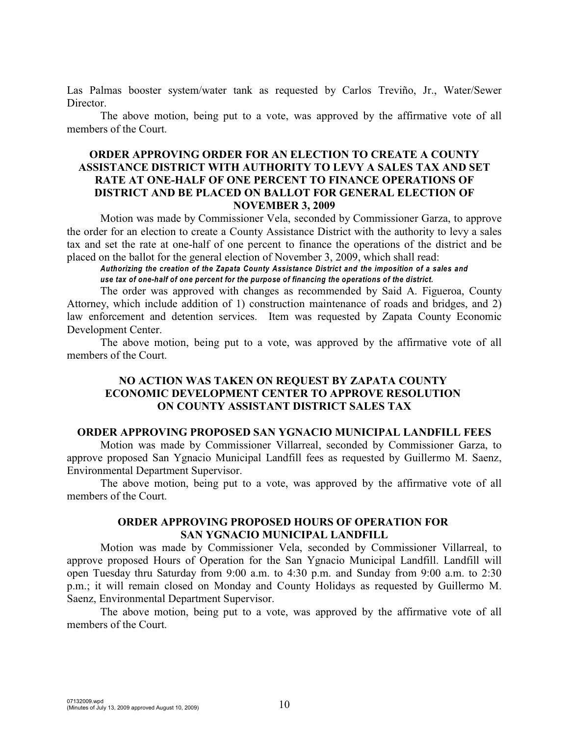Las Palmas booster system/water tank as requested by Carlos Treviño, Jr., Water/Sewer Director.

The above motion, being put to a vote, was approved by the affirmative vote of all members of the Court.

# **ORDER APPROVING ORDER FOR AN ELECTION TO CREATE A COUNTY ASSISTANCE DISTRICT WITH AUTHORITY TO LEVY A SALES TAX AND SET RATE AT ONE-HALF OF ONE PERCENT TO FINANCE OPERATIONS OF DISTRICT AND BE PLACED ON BALLOT FOR GENERAL ELECTION OF NOVEMBER 3, 2009**

Motion was made by Commissioner Vela, seconded by Commissioner Garza, to approve the order for an election to create a County Assistance District with the authority to levy a sales tax and set the rate at one-half of one percent to finance the operations of the district and be placed on the ballot for the general election of November 3, 2009, which shall read:

*Authorizing the creation of the Zapata County Assistance District and the imposition of a sales and use tax of one-half of one percent for the purpose of financing the operations of the district.*

The order was approved with changes as recommended by Said A. Figueroa, County Attorney, which include addition of 1) construction maintenance of roads and bridges, and 2) law enforcement and detention services. Item was requested by Zapata County Economic Development Center.

The above motion, being put to a vote, was approved by the affirmative vote of all members of the Court.

## **NO ACTION WAS TAKEN ON REQUEST BY ZAPATA COUNTY ECONOMIC DEVELOPMENT CENTER TO APPROVE RESOLUTION ON COUNTY ASSISTANT DISTRICT SALES TAX**

#### **ORDER APPROVING PROPOSED SAN YGNACIO MUNICIPAL LANDFILL FEES**

Motion was made by Commissioner Villarreal, seconded by Commissioner Garza, to approve proposed San Ygnacio Municipal Landfill fees as requested by Guillermo M. Saenz, Environmental Department Supervisor.

The above motion, being put to a vote, was approved by the affirmative vote of all members of the Court.

### **ORDER APPROVING PROPOSED HOURS OF OPERATION FOR SAN YGNACIO MUNICIPAL LANDFILL**

Motion was made by Commissioner Vela, seconded by Commissioner Villarreal, to approve proposed Hours of Operation for the San Ygnacio Municipal Landfill. Landfill will open Tuesday thru Saturday from 9:00 a.m. to 4:30 p.m. and Sunday from 9:00 a.m. to 2:30 p.m.; it will remain closed on Monday and County Holidays as requested by Guillermo M. Saenz, Environmental Department Supervisor.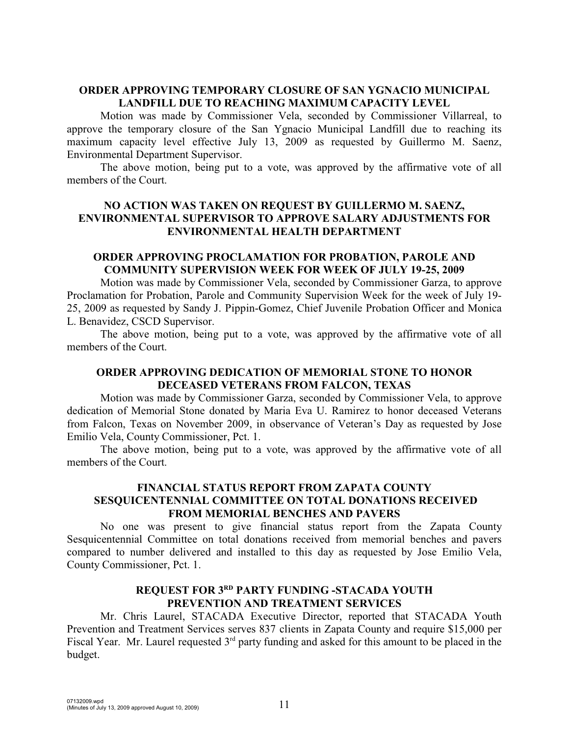# **ORDER APPROVING TEMPORARY CLOSURE OF SAN YGNACIO MUNICIPAL LANDFILL DUE TO REACHING MAXIMUM CAPACITY LEVEL**

Motion was made by Commissioner Vela, seconded by Commissioner Villarreal, to approve the temporary closure of the San Ygnacio Municipal Landfill due to reaching its maximum capacity level effective July 13, 2009 as requested by Guillermo M. Saenz, Environmental Department Supervisor.

The above motion, being put to a vote, was approved by the affirmative vote of all members of the Court.

# **NO ACTION WAS TAKEN ON REQUEST BY GUILLERMO M. SAENZ, ENVIRONMENTAL SUPERVISOR TO APPROVE SALARY ADJUSTMENTS FOR ENVIRONMENTAL HEALTH DEPARTMENT**

## **ORDER APPROVING PROCLAMATION FOR PROBATION, PAROLE AND COMMUNITY SUPERVISION WEEK FOR WEEK OF JULY 19-25, 2009**

Motion was made by Commissioner Vela, seconded by Commissioner Garza, to approve Proclamation for Probation, Parole and Community Supervision Week for the week of July 19- 25, 2009 as requested by Sandy J. Pippin-Gomez, Chief Juvenile Probation Officer and Monica L. Benavidez, CSCD Supervisor.

The above motion, being put to a vote, was approved by the affirmative vote of all members of the Court.

# **ORDER APPROVING DEDICATION OF MEMORIAL STONE TO HONOR DECEASED VETERANS FROM FALCON, TEXAS**

Motion was made by Commissioner Garza, seconded by Commissioner Vela, to approve dedication of Memorial Stone donated by Maria Eva U. Ramirez to honor deceased Veterans from Falcon, Texas on November 2009, in observance of Veteran's Day as requested by Jose Emilio Vela, County Commissioner, Pct. 1.

The above motion, being put to a vote, was approved by the affirmative vote of all members of the Court.

# **FINANCIAL STATUS REPORT FROM ZAPATA COUNTY SESQUICENTENNIAL COMMITTEE ON TOTAL DONATIONS RECEIVED FROM MEMORIAL BENCHES AND PAVERS**

No one was present to give financial status report from the Zapata County Sesquicentennial Committee on total donations received from memorial benches and pavers compared to number delivered and installed to this day as requested by Jose Emilio Vela, County Commissioner, Pct. 1.

## **REQUEST FOR 3 PARTY FUNDING -STACADA YOUTH RD PREVENTION AND TREATMENT SERVICES**

Mr. Chris Laurel, STACADA Executive Director, reported that STACADA Youth Prevention and Treatment Services serves 837 clients in Zapata County and require \$15,000 per Fiscal Year. Mr. Laurel requested  $3<sup>rd</sup>$  party funding and asked for this amount to be placed in the budget.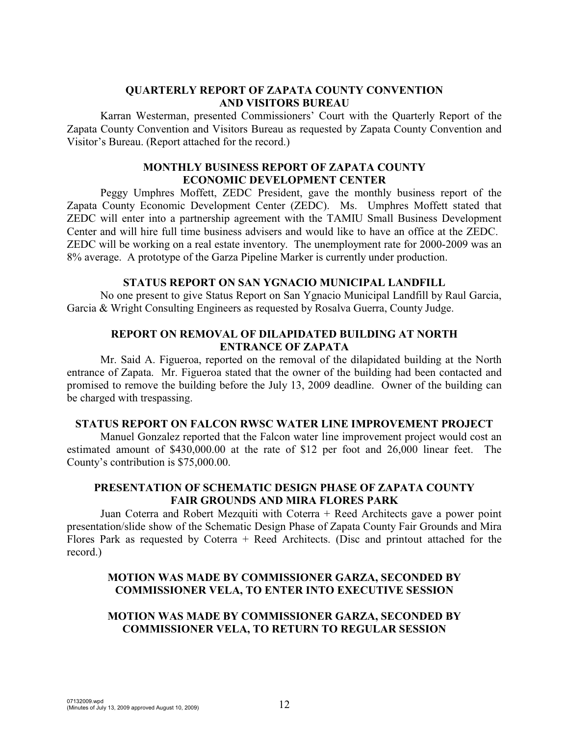# **QUARTERLY REPORT OF ZAPATA COUNTY CONVENTION AND VISITORS BUREAU**

Karran Westerman, presented Commissioners' Court with the Quarterly Report of the Zapata County Convention and Visitors Bureau as requested by Zapata County Convention and Visitor's Bureau. (Report attached for the record.)

# **MONTHLY BUSINESS REPORT OF ZAPATA COUNTY ECONOMIC DEVELOPMENT CENTER**

Peggy Umphres Moffett, ZEDC President, gave the monthly business report of the Zapata County Economic Development Center (ZEDC). Ms. Umphres Moffett stated that ZEDC will enter into a partnership agreement with the TAMIU Small Business Development Center and will hire full time business advisers and would like to have an office at the ZEDC. ZEDC will be working on a real estate inventory. The unemployment rate for 2000-2009 was an 8% average. A prototype of the Garza Pipeline Marker is currently under production.

# **STATUS REPORT ON SAN YGNACIO MUNICIPAL LANDFILL**

No one present to give Status Report on San Ygnacio Municipal Landfill by Raul Garcia, Garcia & Wright Consulting Engineers as requested by Rosalva Guerra, County Judge.

# **REPORT ON REMOVAL OF DILAPIDATED BUILDING AT NORTH ENTRANCE OF ZAPATA**

Mr. Said A. Figueroa, reported on the removal of the dilapidated building at the North entrance of Zapata. Mr. Figueroa stated that the owner of the building had been contacted and promised to remove the building before the July 13, 2009 deadline. Owner of the building can be charged with trespassing.

## **STATUS REPORT ON FALCON RWSC WATER LINE IMPROVEMENT PROJECT**

Manuel Gonzalez reported that the Falcon water line improvement project would cost an estimated amount of \$430,000.00 at the rate of \$12 per foot and 26,000 linear feet. The County's contribution is \$75,000.00.

# **PRESENTATION OF SCHEMATIC DESIGN PHASE OF ZAPATA COUNTY FAIR GROUNDS AND MIRA FLORES PARK**

Juan Coterra and Robert Mezquiti with Coterra + Reed Architects gave a power point presentation/slide show of the Schematic Design Phase of Zapata County Fair Grounds and Mira Flores Park as requested by Coterra  $+$  Reed Architects. (Disc and printout attached for the record.)

# **MOTION WAS MADE BY COMMISSIONER GARZA, SECONDED BY COMMISSIONER VELA, TO ENTER INTO EXECUTIVE SESSION**

# **MOTION WAS MADE BY COMMISSIONER GARZA, SECONDED BY COMMISSIONER VELA, TO RETURN TO REGULAR SESSION**